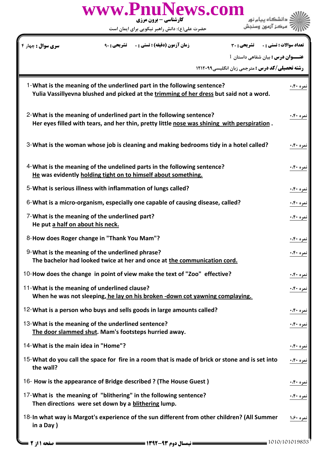| www.PnuNews.com<br>کارشناسی - برون مرزی<br>حضرت علی(ع): دانش راهبر نیکویی برای ایمان است                                                                           |                                |
|--------------------------------------------------------------------------------------------------------------------------------------------------------------------|--------------------------------|
| <b>سری سوال :</b> چهار <sup>ء</sup><br><b>زمان آزمون (دقیقه) : تستی : . ۔ تشریحی : 90</b><br><b>تشریحی : 30</b>                                                    | <b>تعداد سوالات : تستي : .</b> |
| عنـــوان درس : بیان شفاهی داستان 1<br><b>رشته تحصیلی/کد درس :</b> مترجمی زبان انگلیسی1۲۱۲۰۹۹                                                                       |                                |
|                                                                                                                                                                    |                                |
| 1-What is the meaning of the underlined part in the following sentence?<br>Yulia Vassillyevna blushed and picked at the trimming of her dress but said not a word. | نمره ۴۰،                       |
| 2-What is the meaning of underlined part in the following sentence?<br>Her eyes filled with tears, and her thin, pretty little nose was shining with perspiration. | <u>نمره ۴۰،</u> ۰              |
| 3-What is the woman whose job is cleaning and making bedrooms tidy in a hotel called?                                                                              | <u>نمره ۴۰،</u> ۰              |
| 4-What is the meaning of the undelined parts in the following sentence?<br>He was evidently holding tight on to himself about something.                           | نمره ۴۰،۴۰                     |
| 5-What is serious illness with inflammation of lungs called?                                                                                                       | نمره ۴۰،۰                      |
| 6-What is a micro-organism, especially one capable of causing disease, called?                                                                                     | نمره ۴۰،۰                      |
| 7-What is the meaning of the underlined part?<br>He put a half on about his neck.                                                                                  | نمره ۴۰:۰                      |
| 8-How does Roger change in "Thank You Mam"?                                                                                                                        | نمره ۴۰،۰                      |
| 9-What is the meaning of the underlined phrase?<br>The bachelor had looked twice at her and once at the communication cord.                                        | نمره ۴۰،۰                      |
| 10-How does the change in point of view make the text of "Zoo" effective?                                                                                          | نمره ۴۰ <b>۰</b>               |
| 11-What is the meaning of underlined clause?<br>When he was not sleeping, he lay on his broken -down cot yawning complaying.                                       | نمره ۴۰،۰                      |
| 12-What is a person who buys and sells goods in large amounts called?                                                                                              | نمره ۴۰،۴۰                     |
| 13-What is the meaning of the underlined sentence?<br>The door slammed shut. Mam's footsteps hurried away.                                                         | نمره ۴۰:                       |
| 14-What is the main idea in "Home"?                                                                                                                                | <u>نمره ۴۰:۰</u>               |
| 15-What do you call the space for fire in a room that is made of brick or stone and is set into<br>the wall?                                                       | نمره ۴۰،۰                      |
| 16- How is the appearance of Bridge described ? (The House Guest)                                                                                                  | نمره ۴۰،                       |
| 17-What is the meaning of "blithering" in the following sentence?<br>Then directions were set down by a blithering lump.                                           | نمره ۴۰.۰                      |
| 18-In what way is Margot's experience of the sun different from other children? (All Summer<br>in a Day)                                                           | <u>نمره ۱.۶۰</u>               |